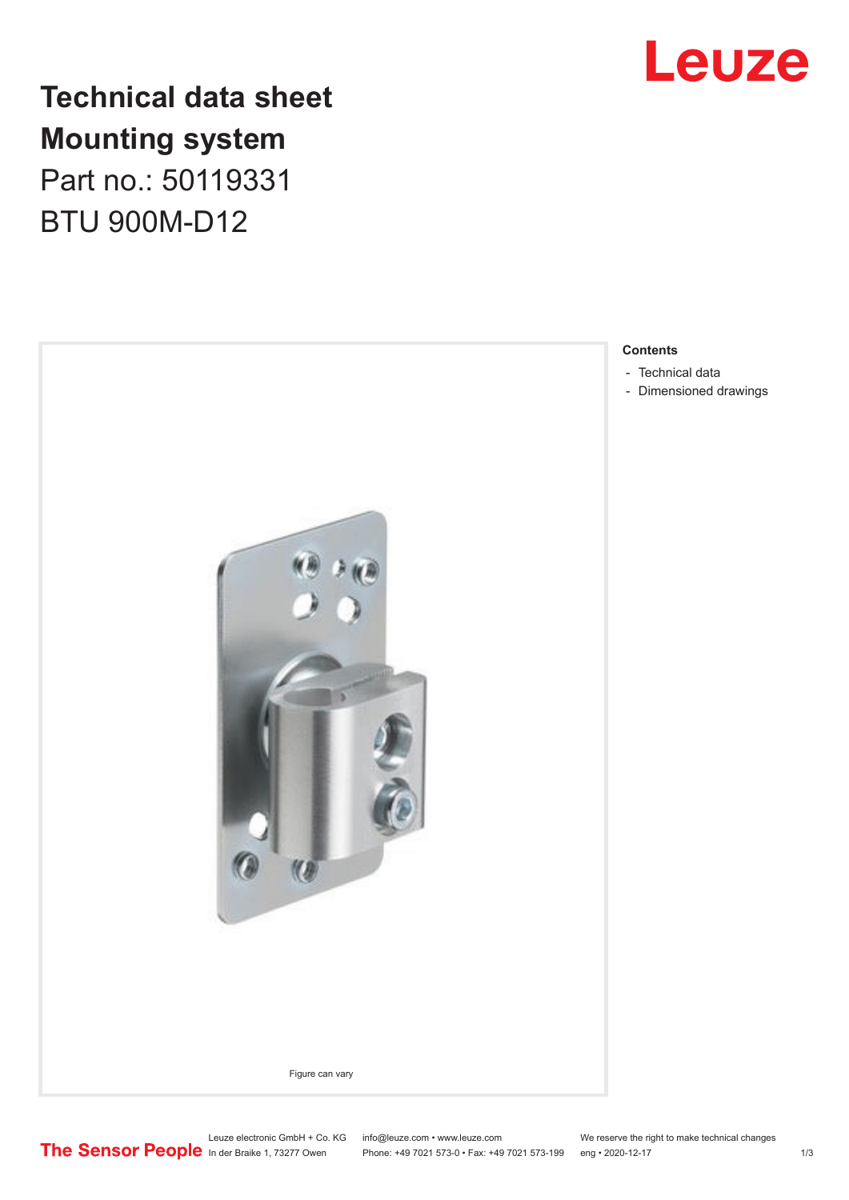

# **Technical data sheet Mounting system**

Part no.: 50119331 BTU 900M-D12



- [Technical data](#page-1-0)
- [Dimensioned drawings](#page-2-0)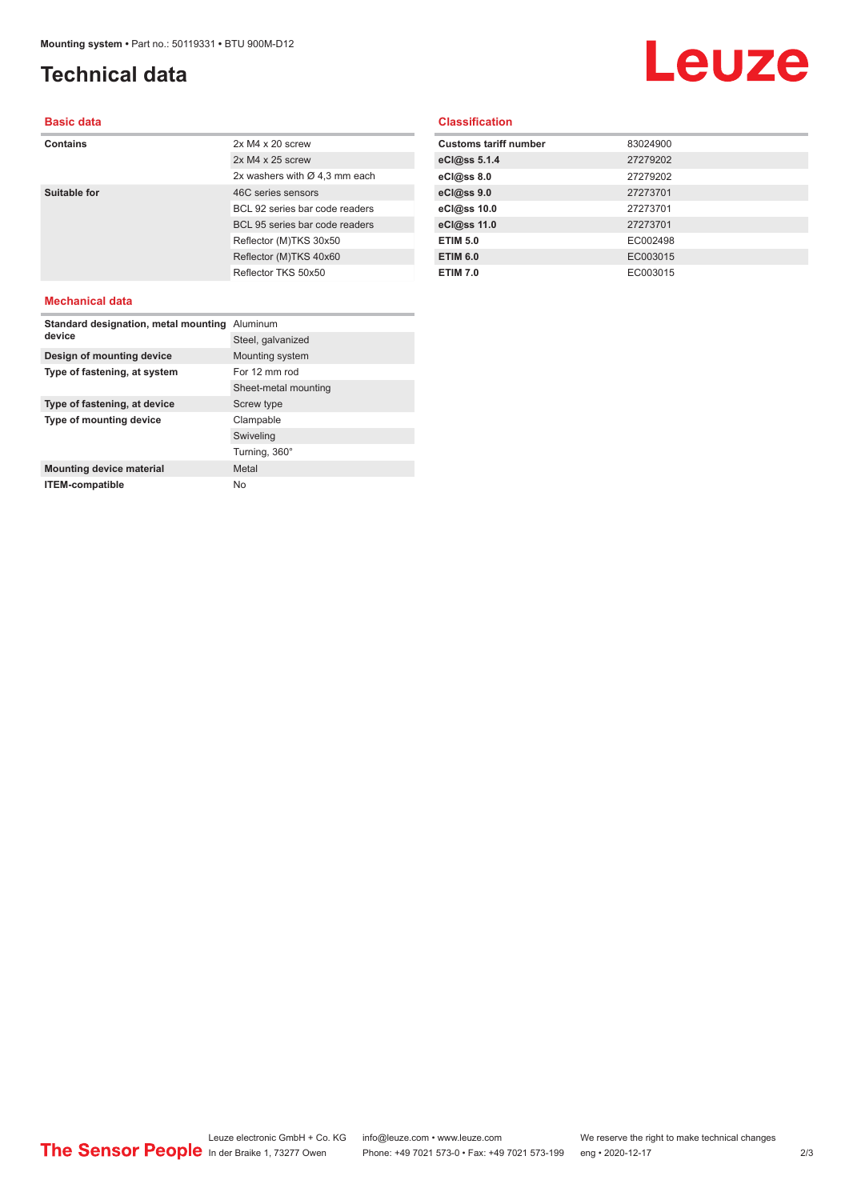## <span id="page-1-0"></span>**Technical data**

# Leuze

#### **Basic data**

| Contains     | $2x M4 x 20$ screw                        |
|--------------|-------------------------------------------|
|              | $2x M4 x 25$ screw                        |
|              | 2x washers with $\varnothing$ 4,3 mm each |
| Suitable for | 46C series sensors                        |
|              | BCL 92 series bar code readers            |
|              | BCL 95 series bar code readers            |
|              | Reflector (M)TKS 30x50                    |
|              | Reflector (M)TKS 40x60                    |
|              | Reflector TKS 50x50                       |
|              |                                           |

#### **Classification**

| <b>Customs tariff number</b> | 83024900 |
|------------------------------|----------|
| eCl@ss 5.1.4                 | 27279202 |
| eCl@ss 8.0                   | 27279202 |
| eCl@ss 9.0                   | 27273701 |
| eCl@ss 10.0                  | 27273701 |
| eCl@ss 11.0                  | 27273701 |
| <b>ETIM 5.0</b>              | EC002498 |
| <b>ETIM 6.0</b>              | EC003015 |
| <b>ETIM 7.0</b>              | EC003015 |

#### **Mechanical data**

| Standard designation, metal mounting<br>device | Aluminum             |
|------------------------------------------------|----------------------|
|                                                | Steel, galvanized    |
| Design of mounting device                      | Mounting system      |
| Type of fastening, at system                   | For 12 mm rod        |
|                                                | Sheet-metal mounting |
| Type of fastening, at device                   | Screw type           |
| Type of mounting device                        | Clampable            |
|                                                | Swiveling            |
|                                                | Turning, 360°        |
| <b>Mounting device material</b>                | Metal                |
| <b>ITEM-compatible</b>                         | No.                  |